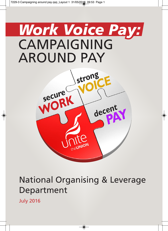## *Work Voice Pay:* CAMPAIGNING AROUND PAY



## National Organising & Leverage Department

July 2016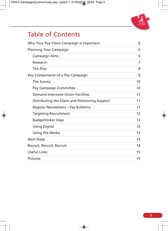# **United**

## Table of Contents

| Why Your Pay Claim Campaign is Important       | 6                 |
|------------------------------------------------|-------------------|
| Planning Your Campaign                         | 6                 |
| <b>Campaign Aims</b>                           | 6                 |
| Research                                       | 7                 |
| The Plan                                       | 8                 |
| Key Components of a Pay Campaign               | 9                 |
| The Survey                                     | 10                |
| Pay Campaign Committee                         | 10                |
| <b>Demand Improved Union Facilities</b>        | 11                |
| Distributing the Claim and Petitioning Support | 11                |
| Regular Newsletters - Pay Bulletins            | 11                |
| <b>Targeting Recruitment</b>                   | 12                |
| <b>Badge/Sticker Days</b>                      | $12 \overline{ }$ |
| <b>Using Digital</b>                           | $12 \overline{ }$ |
| Using the Media                                | 13                |
| <b>Next Steps</b>                              | 13                |
| Recruit, Recruit, Recruit                      | 14                |
| <b>Useful Links</b>                            | 15                |
| <b>Pictures</b>                                | 15                |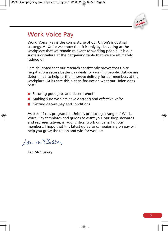

## Work Voice Pay

Work, Voice, Pay is the cornerstone of our Union's industrial strategy. At Unite we know that it is only by delivering at the workplace that we remain relevant to working people. It is our success or failure at the bargaining table that we are ultimately judged on.

I am delighted that our research consistently proves that Unite negotiations secure better pay deals for working people. But we are determined to help further improve delivery for our members at the workplace. At its core this pledge focuses on what our Union does best:

- Securing good jobs and decent *work*
- Making sure workers have a strong and effective *voice*
- **■** Getting decent **pay** and conditions

As part of this programme Unite is producing a range of Work, Voice, Pay templates and guides to assist you, our shop stewards and representatives, in your critical work on behalf of our members. I hope that this latest guide to campaigning on pay will help you grow the union and win for workers.

Len m Cluskey

**Len McCluskey**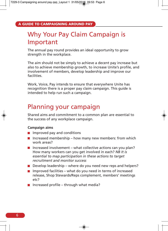## Why Your Pay Claim Campaign is Important

The annual pay round provides an ideal opportunity to grow strength in the workplace.

The aim should not be simply to achieve a decent pay increase but also to achieve membership growth, to increase Unite's profile, and involvement of members, develop leadership and improve our facilities.

Work, Voice, Pay intends to ensure that everywhere Unite has recognition there is a proper pay claim campaign. This guide is intended to help run such a campaign.

## Planning your campaign

Shared aims and commitment to a common plan are essential to the success of any workplace campaign.

#### **Campaign aims**

- Interproved pay and conditions
- Increased membership how many new members: from which work areas?
- Increased involvement what collective actions can you plan? How many workers can you get involved in each? *NB It is essential to map participation in these actions to target recruitment and monitor success*
- Develop leadership where do you need new reps and helpers?
- Improved facilities what do you need in terms of increased release, Shop Stewards/Reps complement, members' meetings etc?
- Increased profile through what media?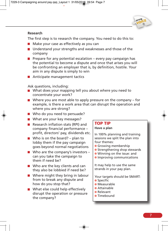

#### **Research**

The first step is to research the company. You need to do this to:

- Make your case as effectively as you can
- Understand your strengths and weaknesses and those of the company
- **Prepare for any potential escalation every pay campaign has** the potential to become a dispute and once that arises you will be confronting an employer that is, by definition, hostile. Your aim in any dispute is simply to win
- **Anticipate management tactics**

Ask questions, including:

- What does your mapping tell you about where you need to concentrate your work?
- Where you are most able to apply pressure on the company for example, is there a work area that can disrupt the operation and where you are strong?
- Who do you need to persuade?
- What are your key messages?
- $\blacksquare$  Research inflation stats (RPI) and company financial performance – profit, directors' pay, dividends etc.
- Who is on the board? plan to lobby them if the pay campaign goes beyond normal negotiations
- Who are the company's investors  $$ can you take the campaign to them if need be?
- Who are the key clients and can they also be lobbied if need be?
- Where might they bring in labour from to break any dispute and how do you stop that?
- What else could help effectively disrupt the operation or pressure the company?

#### **TOP TIP**

#### **Have a plan**

In 100% planning and training sessions we split the plan into four themes:

- Growing membership
- Strengthening shop stewards
- Winning on the issue: and
- **Improving communications**

It may help to use the same strands in your pay plan.

Your targets should be SMART: ● Specific

- Measurable
- Attainable
- Relevant
- **Timebound**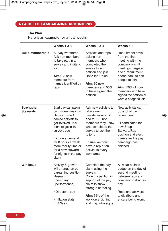#### **The Plan**

Here is an example for a few weeks:

|                               | <b>Weeks 1 &amp; 2</b>                                                                                                                                                                                                                                                    | <b>Weeks 3 &amp; 4</b>                                                                                                                                                                                                         | Weeks 5-8                                                                                                                                                                                                                                                        |
|-------------------------------|---------------------------------------------------------------------------------------------------------------------------------------------------------------------------------------------------------------------------------------------------------------------------|--------------------------------------------------------------------------------------------------------------------------------------------------------------------------------------------------------------------------------|------------------------------------------------------------------------------------------------------------------------------------------------------------------------------------------------------------------------------------------------------------------|
| <b>Build membership</b>       | Survey workforce.<br>Ask non-members<br>to take part in a<br>survey and invite to<br>join.<br><b>Aim: 25 new</b><br>members from<br>names identified by<br>reps                                                                                                           | Activists and reps<br>asking non-<br>members who<br>completed the<br>survey to sign<br>petition and join<br>Unite the Union.<br>Aim: 20 new<br>members and 50%<br>to have signed the<br>petition                               | Recruitment drive<br>from the first<br>meeting with the<br>company - shift<br>meetings, targeted<br>1 to 1 recruitment,<br>phone bank to ask<br>people to join.<br><b>Aim:</b> 50% of non-<br>members who have<br>signed the petition or<br>worn a badge to join |
| Strengthen<br><b>Stewards</b> | Start pay campaign<br>committee meetings.<br>Reps to invite 4<br>named activists to<br>get involved. Task<br>them to get in 10<br>surveys each.<br>Include a demand<br>for 8 hours a week<br>more facility time or<br>for a new steward<br>for nights in the pay<br>claim | Ask new activists to<br>take a new<br>newsletter around<br>and to ID 2 non-<br>members they know<br>who completed the<br>survey to ask them<br>to join.<br>Ensure we now<br>have a rep or an<br>activist in every<br>work area | New activists can<br>do a lot of the<br>recruitment.<br>ID candidates for<br>new Shop<br>Steward/Rep<br>position and elect<br>them after the pay<br>campaign has<br>finished                                                                                     |
| <b>Win issue</b>              | Activity & growth<br>will strengthen our<br>bargaining position.<br>Research:<br>• company<br>performance,<br>• Directors' pay,<br>• Inflation stats<br>(RPI) etc                                                                                                         | Complete the pay<br>claim using the<br>survey.<br>Collect a petition in<br>support of the pay<br>claim to show<br>strength of feeling.<br>$Aim: 65%$ of the<br>workforce signing<br>and map who signs.                         | All wear a Unite<br>badge on the day of<br>second meeting<br>between reps and<br>company to discuss<br>pay.<br>Reps and activists<br>to distribute and<br>ensure being worn.                                                                                     |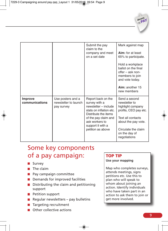|                                  |                                                         | Submit the pay<br>claim to the<br>company and meet<br>on a set date                                                                                                                                | Mark against map<br>Aim: for at least<br>65% to participate.<br>Hold a workplace<br>ballot on the final<br>offer – ask non-<br>members to join<br>and vote today.<br>Aim: another 15<br>new members |
|----------------------------------|---------------------------------------------------------|----------------------------------------------------------------------------------------------------------------------------------------------------------------------------------------------------|-----------------------------------------------------------------------------------------------------------------------------------------------------------------------------------------------------|
| <b>Improve</b><br>communications | Use posters and a<br>newsletter to launch<br>pay survey | Report back on the<br>survey with a<br>newsletter - include<br>stats on inflation etc.<br>Distribute the items<br>of the pay claim and<br>ask workers to<br>support it with a<br>petition as above | Send a second<br>newsletter to<br>highlight company<br>profits, CEO pay etc.<br>Text all contacts<br>about the pay vote.<br>Circulate the claim<br>on the day of<br>negotiations                    |

## Some key components of a pay campaign:

- Survey
- The claim
- Pay campaign committee
- Demands for improved facilities
- $\blacksquare$  Distributing the claim and petitioning support
- **Petition support**
- Regular newsletters pay bulletins
- Targeting recruitment
- **Collective actions**

#### **TOP TIP**

#### **Use your mapping**

Map who completes surveys, attends meetings, signs petitions etc. Use this to plan who will speak to whom about joining an action. Identify individuals who have taken part in an action to ask them to join or get more involved.

**decent PAY**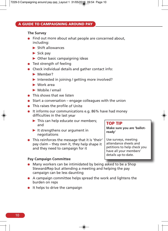#### **The Survey**

- **Find out more about what people are concerned about,** including:
	- $\blacktriangleright$  Shift allowances
	- $\blacktriangleright$  Sick pay
	- $\triangleright$  Other basic campaigning ideas
- **•** Test strength of feeling
- Check individual details and gather contact info:
	- Member?
	- ▶ Interested in joining / getting more involved?
	- Work area
	- Mobile / email
- **This shows that we listen**
- $\bullet$  Start a conversation engage colleagues with the union
- This raises the profile of Unite
- It informs our communications e.g. 86% have had money difficulties in the last year
	- This can help educate our members; and
	- $\blacktriangleright$  It strengthens our argument in negotiations
- This reinforces the message that it is 'their' pay claim – they own it, they help shape it and they need to campaign for it

#### **Pay Campaign Committee**

#### **TOP TIP**

**Make sure you are 'ballotready'**

Use surveys, meeting attendance sheets and petitions to help check you have all your members' details up-to-date.

- Many workers can be intimidated by being asked to be <sup>a</sup> Shop Steward/Rep but attending <sup>a</sup> meeting and helping the pay campaign can be less daunting
- A campaign committee helps spread the work and lightens the burden on reps
- $\bullet$  It helps to drive the campaign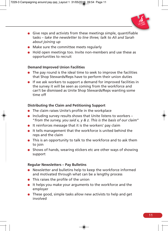

- **Give reps and activists from these meetings simple, quantifiable** tasks – *take the newsletter to line three; talk to Ali and Sarah about joining up*
- Make sure the committee meets regularly
- Hold open meetings too. Invite non-members and use these as opportunities to recruit

#### **Demand Improved Union Facilities**

- The pay round is the ideal time to seek to improve the facilities that Shop Stewards/Reps have to perform their union duties
- **If we ask workers to support a demand for improved facilities in** the survey it will be seen as coming from the workforce and can't be dismissed as Unite Shop Stewards/Reps wanting some time off

#### **Distributing the Claim and Petitioning Support**

- The claim raises Unite's profile in the workplace
- $\bullet$  Including survey results shows that Unite listens to workers "*from the survey, you said x, y & z. This is the basis of our claim*"
- It reinforces message that it is the workers' pay claim
- It tells management that the workforce is united behind the reps and the claim
- This is an opportunity to talk to the workforce and to ask them to join
- Shows of hands, wearing stickers etc are other ways of showing support

#### **Regular Newsletters – Pay Bulletins**

- Newsletter and bulletins help to keep the workforce informed and motivated through what can be a lengthy process
- This raises the profile of the union
- It helps you make your arguments to the workforce and the employer
- These good, simple tasks allow new activists to help and get involved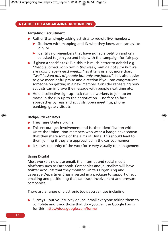#### **Targeting Recruitment**

- Rather than simply asking activists to recruit five members:
	- $\triangleright$  Sit down with mapping and ID who they know and can ask to join, or
	- $\blacktriangleright$  Identify non-members that have signed a petition and can be asked to join you and help with the campaign for fair pay
- $\bullet$  If given a specific task like this it is much better to debrief e.g. *"Debbie joined, John not in this week, Samina not sure but we are talking again next week…"* as it tells us a lot more than, *"well I asked lots of people but only one joined"*. It is also easier to give meaningful praise and direction if you can congratulate someone on getting in a new member. Consider rehearsing how activists can improve the message with people next time etc.
- Hold a collective sign-up ask named workers to join up enmasse in the run-up to the negotiation – use face to face approaches by reps and activists, open meetings, phone banking, gate visits etc.

#### **Badge/Sticker Days**

- They raise Unite's profile
- This encourages involvement and further identification with Unite the Union. Non-members who wear a badge have shown that they share some of the aims of Unite. This should lead to them joining if they are approached in the correct manner
- $\bullet$  It shows the unity of the workforce very visually to management

#### **Using Digital**

Most workers now use email, the internet and social media platforms such as Facebook. Companies and journalists will have twitter accounts that they monitor. Unite's Organising and Leverage Department has invested in a package to support direct emailing and petitioning that can track involvement and pressure companies.

There are a range of electronic tools you can use including:

 $\bullet$  Surveys – put your survey online, email everyone asking them to complete and track those that do – you can use Google Forms for this: https://docs.google.com/forms/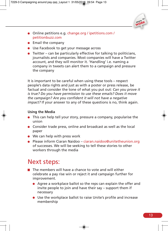

- Online petitions e.g. change.org / ipetitions.com / petitionbuzz.com
- $\bullet$  Email the company
- Use Facebook to get your message across
- Twitter can be particularly effective for talking to politicians, journalists and companies. Most companies will have a Twitter account, and they will monitor it. 'Handling' i.e. naming a company in tweets can alert them to a campaign and pressure the company

It is important to be careful when using these tools – respect people's data rights and just as with a poster or press release, be factual and consider the tone of what you put out: *Can you prove it is true? Do you have permission to use these emails? Does it move the campaign? Are you confident it will not have a negative impact?* If your answer to any of these questions is no, think again.

#### **Using the Media**

- This can help tell your story, pressure a company, popularise the union
- Consider trade press, online and broadcast as well as the local paper
- We can help with press work
- Please inform Ciaran Naidoo ciaran.naidoo@unitetheunion.org of successes. We will be seeking to tell these stories to other workers through the media

## Next steps:

- $\blacksquare$  The members will have a chance to vote and will either celebrate a pay rise win or reject it and campaign further for improvement.
	- Agree a workplace ballot so the reps can explain the offer and invite people to join and have their say – support them if necessary
	- Use the workplace ballot to raise Unite's profile and increase membership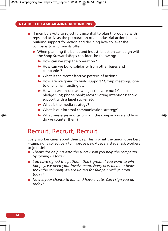#### **A GUIDE TO CAMPAIGNING AROUND PAY**

- $\blacksquare$  If members vote to reject it is essential to plan thoroughly with reps and activists the preparation of an industrial action ballot, building support for action and deciding how to lever the company to improve its offer:
	- When planning the ballot and industrial action campaign with the Shop Stewards/Reps consider the following:
		- $\blacktriangleright$  How can we stop the operation?
		- $\blacktriangleright$  How can we build solidarity from other bases and companies?
		- What is the most effective pattern of action?
		- $\blacktriangleright$  How are we going to build support? Group meetings, one to one, email, texting etc.
		- How do we ensure we will get the vote out? Collect pledge slips; phone bank; record voting intentions; show support with a lapel sticker etc.
		- What is the media strategy?
		- What is our internal communication strategy?
		- What messages and tactics will the company use and how do we counter them?

### Recruit, Recruit, Recruit

Every worker cares about their pay. This is what the union does best – campaigns collectively to improve pay. At every stage, ask workers to join Unite:

- *Thanks for helping with the survey, will you help the campaign by joining us today?*
- *You have signed the petition, that's great, if you want to win fair pay, we need your involvement. Every new member helps show the company we are united for fair pay. Will you join today?*
- *Now is your chance to join and have a vote. Can I sign you up today?*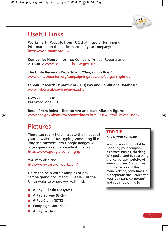

## Useful Links

**Worksmart** – Website from TUC that is useful for finding information on the performance of your company: https://worksmart.org.uk/

**Companies House** – for free Company Annual Reports and Accounts: www.companieshouse.gov.uk/

**The Unite Research Department** *"Bargaining Brief":* www.unitetheunion.org/campaigning/repszone/bargainingbrief/

**Labour Research Department (LRD) Pay and Conditions Database:** www.lrd.org.uk/payline/index.php

*Username:* unite *Password:* opal961

**Retail Prices Index – lists current and past inflation figures:** www.ons.gov.uk/ons/taxonomy/index.html?nscl=Retail+Prices+Index

## Pictures

These can really help increase the impact of your newsletter. Just typing something like 'pay rise cartoon' into Google Images will often give you some excellent images. https://www.google.com/imghp

You may also try: http://www.cartoonwork.com/

Unite can help with examples of pay campaigning documents. Please visit the Unite website where you will find:

- **A Pay Bulletin (EasyJet)**
- **A Pay Survey (GKN)**
- **A Pay Claim (ICTS)**
- **Campaign Materials**
- **A Pay Petition**

#### **TOP TIP**

#### **Know your company**

You can also learn a lot by Googling your company directors' names, checking Wikipedia, and by searching the 'corporate' website of your company. Sometimes this is a section of their main website, sometimes it is a separate site. Search for 'your company corporate' and you should find it.